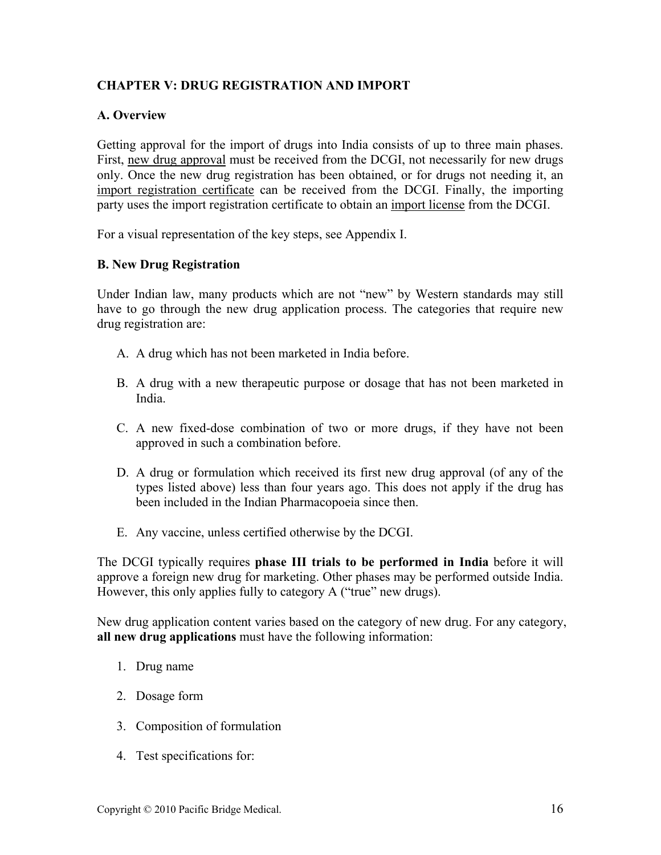## **CHAPTER V: DRUG REGISTRATION AND IMPORT**

## **A. Overview**

Getting approval for the import of drugs into India consists of up to three main phases. First, new drug approval must be received from the DCGI, not necessarily for new drugs only. Once the new drug registration has been obtained, or for drugs not needing it, an import registration certificate can be received from the DCGI. Finally, the importing party uses the import registration certificate to obtain an import license from the DCGI.

For a visual representation of the key steps, see Appendix I.

## **B. New Drug Registration**

Under Indian law, many products which are not "new" by Western standards may still have to go through the new drug application process. The categories that require new drug registration are:

- A. A drug which has not been marketed in India before.
- B. A drug with a new therapeutic purpose or dosage that has not been marketed in India.
- C. A new fixed-dose combination of two or more drugs, if they have not been approved in such a combination before.
- D. A drug or formulation which received its first new drug approval (of any of the types listed above) less than four years ago. This does not apply if the drug has been included in the Indian Pharmacopoeia since then.
- E. Any vaccine, unless certified otherwise by the DCGI.

The DCGI typically requires **phase III trials to be performed in India** before it will approve a foreign new drug for marketing. Other phases may be performed outside India. However, this only applies fully to category A ("true" new drugs).

New drug application content varies based on the category of new drug. For any category, **all new drug applications** must have the following information:

- 1. Drug name
- 2. Dosage form
- 3. Composition of formulation
- 4. Test specifications for: